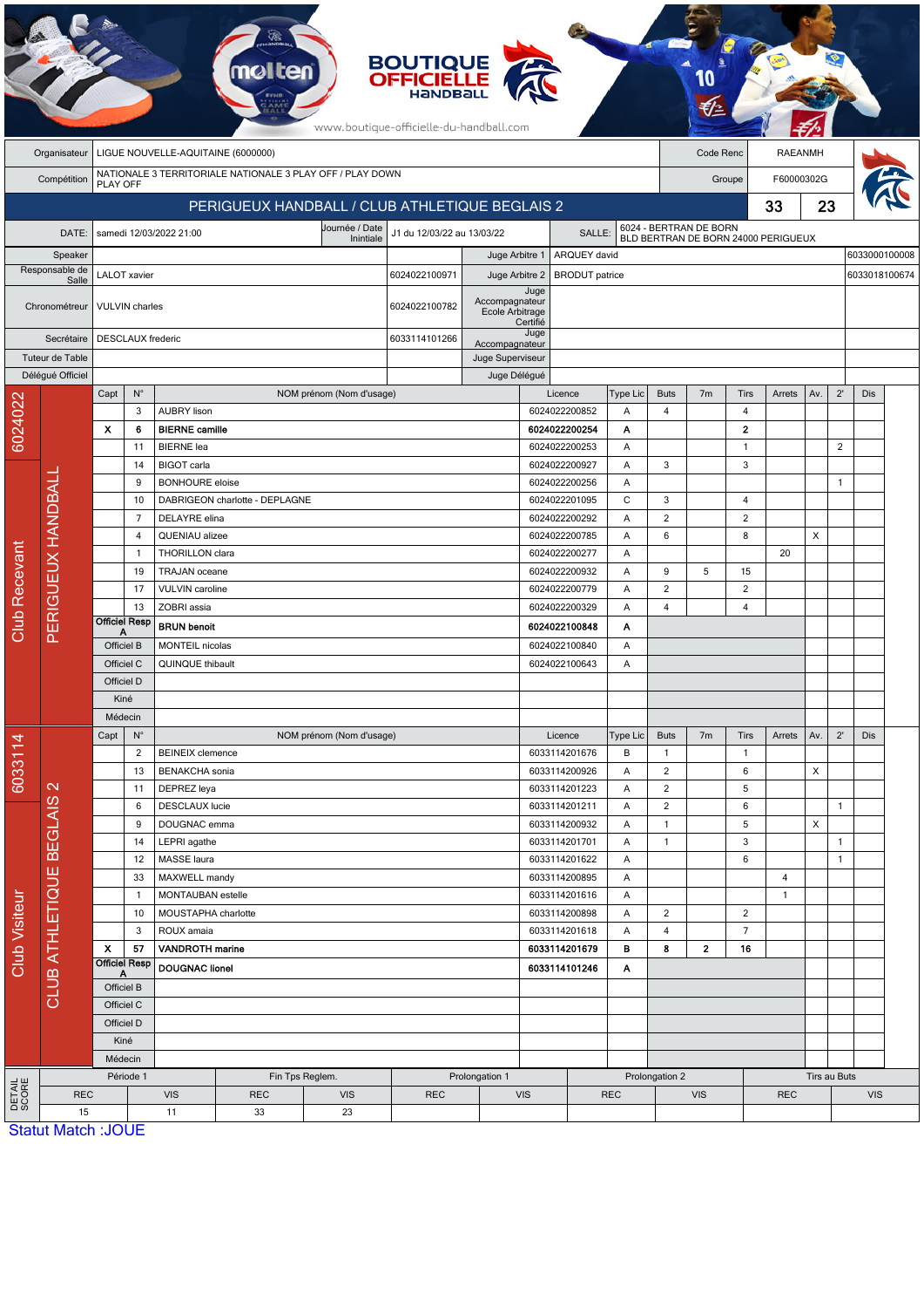|                                                    |                                                            |  |                                                               |                               |                                                 |                                |  |                             | <b>BOUTIQUE</b><br><b>OFFICIELLE</b><br>HANDBALL<br>www.boutique-officielle-du-handball.com |                                     |                                                       |                                                 |                          |                                                               |                |                      |              |              |                |               |  |
|----------------------------------------------------|------------------------------------------------------------|--|---------------------------------------------------------------|-------------------------------|-------------------------------------------------|--------------------------------|--|-----------------------------|---------------------------------------------------------------------------------------------|-------------------------------------|-------------------------------------------------------|-------------------------------------------------|--------------------------|---------------------------------------------------------------|----------------|----------------------|--------------|--------------|----------------|---------------|--|
| LIGUE NOUVELLE-AQUITAINE (6000000)<br>Organisateur |                                                            |  |                                                               |                               |                                                 |                                |  |                             |                                                                                             |                                     |                                                       |                                                 | Code Renc                |                                                               | <b>RAEANMH</b> |                      |              |              |                |               |  |
|                                                    | Compétition                                                |  | NATIONALE 3 TERRITORIALE NATIONALE 3 PLAY OFF / PLAY DOWN     |                               |                                                 |                                |  |                             |                                                                                             |                                     |                                                       |                                                 | F60000302G<br>Groupe     |                                                               |                |                      |              |              |                |               |  |
|                                                    | PLAY OFF<br>PERIGUEUX HANDBALL / CLUB ATHLETIQUE BEGLAIS 2 |  |                                                               |                               |                                                 |                                |  |                             |                                                                                             |                                     |                                                       |                                                 |                          |                                                               |                |                      |              | 23           |                |               |  |
|                                                    |                                                            |  |                                                               |                               |                                                 |                                |  |                             |                                                                                             |                                     |                                                       |                                                 |                          |                                                               |                |                      | 33           |              |                |               |  |
| DATE:                                              |                                                            |  |                                                               |                               | samedi 12/03/2022 21:00                         |                                |  | Journée / Date<br>Inintiale | J1 du 12/03/22 au 13/03/22                                                                  |                                     |                                                       | SALLE:                                          |                          | 6024 - BERTRAN DE BORN<br>BLD BERTRAN DE BORN 24000 PERIGUEUX |                |                      |              |              |                |               |  |
| Speaker                                            |                                                            |  |                                                               |                               |                                                 |                                |  |                             |                                                                                             |                                     | Juge Arbitre 1                                        | ARQUEY david                                    |                          |                                                               |                |                      |              |              |                | 6033000100008 |  |
|                                                    | Responsable de<br>Salle                                    |  | <b>LALOT</b> xavier                                           |                               |                                                 |                                |  |                             | 6024022100971                                                                               |                                     | Juge Arbitre 2                                        | <b>BRODUT</b> patrice                           |                          |                                                               |                |                      |              |              |                | 6033018100674 |  |
| Chronométreur                                      |                                                            |  | <b>VULVIN</b> charles                                         |                               |                                                 |                                |  |                             | 6024022100782                                                                               |                                     | Juge<br>Accompagnateur<br>Ecole Arbitrage<br>Certifié |                                                 |                          |                                                               |                |                      |              |              |                |               |  |
| Secrétaire                                         |                                                            |  |                                                               |                               | <b>DESCLAUX</b> frederic                        |                                |  |                             | 6033114101266                                                                               | Accompagnateur                      | Juge                                                  |                                                 |                          |                                                               |                |                      |              |              |                |               |  |
|                                                    | Tuteur de Table                                            |  |                                                               |                               |                                                 |                                |  |                             |                                                                                             |                                     | Juge Superviseur                                      |                                                 |                          |                                                               |                |                      |              |              |                |               |  |
|                                                    | Délégué Officiel                                           |  |                                                               |                               |                                                 |                                |  |                             |                                                                                             | Juge Délégué                        |                                                       |                                                 |                          |                                                               |                |                      |              |              |                |               |  |
|                                                    |                                                            |  | Capt                                                          | $N^{\circ}$                   |                                                 |                                |  | NOM prénom (Nom d'usage)    |                                                                                             |                                     |                                                       | Licence                                         | Type Lic                 | <b>Buts</b>                                                   | 7 <sub>m</sub> | Tirs                 | Arrets       | Av.          | $2^{\prime}$   | Dis           |  |
| 6024022                                            |                                                            |  |                                                               | 3                             | <b>AUBRY lison</b>                              |                                |  |                             |                                                                                             |                                     |                                                       | 6024022200852                                   | Α                        | 4                                                             |                | 4                    |              |              |                |               |  |
|                                                    |                                                            |  | x                                                             | 6                             | <b>BIERNE</b> camille                           |                                |  |                             |                                                                                             |                                     |                                                       | 6024022200254                                   | Α                        |                                                               |                | $\mathbf 2$          |              |              |                |               |  |
|                                                    |                                                            |  | 11<br>14<br>9<br>10<br>$\overline{7}$<br>$\overline{4}$<br>-1 |                               | <b>BIERNE</b> lea<br><b>BIGOT</b> carla         |                                |  |                             |                                                                                             |                                     |                                                       | 6024022200253<br>6024022200927                  | Α<br>Α                   | 3                                                             |                | 1<br>3               |              |              | $\overline{c}$ |               |  |
|                                                    |                                                            |  |                                                               |                               | <b>BONHOURE</b> eloise                          |                                |  |                             |                                                                                             |                                     |                                                       | 6024022200256                                   | Α                        |                                                               |                |                      |              |              | $\mathbf{1}$   |               |  |
|                                                    |                                                            |  |                                                               |                               |                                                 | DABRIGEON charlotte - DEPLAGNE |  |                             |                                                                                             |                                     |                                                       | 6024022201095                                   | C                        | 3                                                             |                | 4                    |              |              |                |               |  |
|                                                    |                                                            |  |                                                               |                               | DELAYRE elina                                   |                                |  |                             |                                                                                             |                                     | 6024022200292                                         | Α                                               | $\overline{c}$           |                                                               | $\overline{2}$ |                      |              |              |                |               |  |
|                                                    |                                                            |  |                                                               |                               | QUENIAU alizee                                  |                                |  |                             |                                                                                             |                                     |                                                       | 6024022200785                                   |                          | 6                                                             |                | 8                    |              | X            |                |               |  |
|                                                    |                                                            |  |                                                               |                               | THORILLON clara                                 |                                |  |                             |                                                                                             |                                     |                                                       | 6024022200277                                   | A                        |                                                               |                |                      | 20           |              |                |               |  |
|                                                    |                                                            |  |                                                               | 19                            | TRAJAN oceane                                   |                                |  |                             |                                                                                             |                                     |                                                       | 6024022200932                                   | Α                        | 9                                                             | 5              | 15                   |              |              |                |               |  |
|                                                    |                                                            |  |                                                               | 17                            | <b>VULVIN</b> caroline                          |                                |  |                             |                                                                                             |                                     |                                                       | 6024022200779                                   | Α                        | $\overline{2}$                                                |                | $\overline{2}$       |              |              |                |               |  |
| Club Recevant                                      | PERIGUEUX HANDBALI                                         |  |                                                               | 13                            | ZOBRI assia                                     |                                |  |                             |                                                                                             |                                     |                                                       | 6024022200329                                   | Α                        | $\overline{4}$                                                |                | $\overline{4}$       |              |              |                |               |  |
|                                                    |                                                            |  | <b>Officiel Resp</b><br>А                                     |                               | <b>BRUN benoit</b>                              |                                |  |                             |                                                                                             |                                     |                                                       | 6024022100848                                   |                          |                                                               |                |                      |              |              |                |               |  |
|                                                    |                                                            |  | Officiel B                                                    |                               | MONTEIL nicolas                                 |                                |  |                             |                                                                                             |                                     |                                                       | 6024022100840                                   | Α                        |                                                               |                |                      |              |              |                |               |  |
|                                                    |                                                            |  | Officiel C                                                    |                               | QUINQUE thibault                                |                                |  |                             |                                                                                             |                                     |                                                       | 6024022100643                                   |                          |                                                               |                |                      |              |              |                |               |  |
|                                                    |                                                            |  | Officiel D                                                    |                               |                                                 |                                |  |                             |                                                                                             |                                     |                                                       |                                                 |                          |                                                               |                |                      |              |              |                |               |  |
|                                                    |                                                            |  | Kiné                                                          |                               |                                                 |                                |  |                             |                                                                                             |                                     |                                                       |                                                 |                          |                                                               |                |                      |              |              |                |               |  |
|                                                    |                                                            |  | Médecin                                                       |                               |                                                 |                                |  |                             |                                                                                             |                                     |                                                       |                                                 |                          |                                                               |                |                      |              |              |                |               |  |
|                                                    |                                                            |  | Capt                                                          | $N^{\circ}$<br>$\overline{2}$ | <b>BEINEIX</b> clemence                         |                                |  | NOM prénom (Nom d'usage)    |                                                                                             |                                     |                                                       | Licence<br>6033114201676                        | Type Lic<br>В            | <b>Buts</b><br>$\mathbf{1}$                                   | 7 <sub>m</sub> | Tirs<br>$\mathbf{1}$ | Arrets       | Av.          | $2^{\prime}$   | Dis           |  |
|                                                    |                                                            |  |                                                               | 13                            | <b>BENAKCHA</b> sonia                           |                                |  |                             |                                                                                             |                                     |                                                       | 6033114200926                                   | A                        | $\overline{c}$                                                |                | 6                    |              | X            |                |               |  |
| 6033114                                            | $\mathbf{\Omega}$                                          |  |                                                               | 11                            | DEPREZ leya                                     |                                |  |                             |                                                                                             |                                     |                                                       | 6033114201223                                   | Α                        | $\overline{c}$                                                |                | 5                    |              |              |                |               |  |
|                                                    |                                                            |  |                                                               | 6                             | <b>DESCLAUX</b> lucie                           |                                |  |                             |                                                                                             |                                     |                                                       | 6033114201211                                   | Α                        | $\overline{\mathbf{c}}$                                       |                | 6                    |              |              | $\mathbf{1}$   |               |  |
|                                                    |                                                            |  |                                                               | 9                             | DOUGNAC emma                                    |                                |  |                             |                                                                                             |                                     |                                                       | 6033114200932                                   | A                        | $\mathbf{1}$                                                  |                | 5                    |              | X            |                |               |  |
| Club Visiteur                                      | <b>BEGLAIS</b>                                             |  |                                                               | 14                            | LEPRI agathe                                    |                                |  |                             |                                                                                             |                                     |                                                       | 6033114201701                                   | Α                        | $\mathbf{1}$                                                  |                | 3                    |              |              | $\mathbf{1}$   |               |  |
|                                                    |                                                            |  |                                                               | 12                            | MASSE laura                                     |                                |  |                             |                                                                                             |                                     |                                                       | 6033114201622                                   | A                        |                                                               |                | 6                    |              |              | $\mathbf{1}$   |               |  |
|                                                    |                                                            |  | 33<br>$\overline{1}$                                          |                               | MAXWELL mandy                                   |                                |  |                             |                                                                                             |                                     |                                                       | 6033114200895                                   |                          |                                                               |                |                      | 4            |              |                |               |  |
|                                                    |                                                            |  |                                                               |                               | MONTAUBAN estelle                               |                                |  |                             |                                                                                             |                                     |                                                       | 6033114201616<br>6033114200898<br>6033114201618 |                          | Α<br>A                                                        |                |                      | $\mathbf{1}$ |              |                |               |  |
|                                                    |                                                            |  |                                                               | 10                            | MOUSTAPHA charlotte<br>ROUX amaia               |                                |  |                             |                                                                                             |                                     |                                                       |                                                 |                          | $\overline{c}$                                                |                | $\overline{2}$       |              |              |                |               |  |
|                                                    |                                                            |  |                                                               | 3                             |                                                 |                                |  |                             |                                                                                             |                                     |                                                       |                                                 | A<br>в                   | $\overline{\mathbf{4}}$<br>8                                  | $\mathbf{2}$   | $\overline{7}$<br>16 |              |              |                |               |  |
|                                                    |                                                            |  | $\boldsymbol{\mathsf{x}}$<br>57<br>Officiel Resp              |                               | <b>VANDROTH</b> marine<br><b>DOUGNAC lionel</b> |                                |  |                             |                                                                                             | 6033114201679<br>6033114101246<br>Α |                                                       |                                                 |                          |                                                               |                |                      |              |              |                |               |  |
|                                                    | <b>CLUB ATHLETIQUE</b>                                     |  | Α<br>Officiel B                                               |                               |                                                 |                                |  |                             |                                                                                             |                                     |                                                       |                                                 |                          |                                                               |                |                      |              |              |                |               |  |
|                                                    |                                                            |  | Officiel C                                                    |                               |                                                 |                                |  |                             |                                                                                             |                                     |                                                       |                                                 |                          |                                                               |                |                      |              |              |                |               |  |
|                                                    |                                                            |  | Officiel D                                                    |                               |                                                 |                                |  |                             |                                                                                             |                                     |                                                       |                                                 |                          |                                                               |                |                      |              |              |                |               |  |
|                                                    |                                                            |  | Kiné                                                          |                               |                                                 |                                |  |                             |                                                                                             |                                     |                                                       |                                                 |                          |                                                               |                |                      |              |              |                |               |  |
|                                                    |                                                            |  | Médecin                                                       |                               |                                                 |                                |  |                             |                                                                                             |                                     |                                                       |                                                 |                          |                                                               |                |                      |              |              |                |               |  |
|                                                    |                                                            |  | Période 1                                                     |                               | Fin Tps Reglem.<br>Prolongation 1               |                                |  |                             |                                                                                             |                                     |                                                       |                                                 |                          |                                                               | Prolongation 2 |                      |              | Tirs au Buts |                |               |  |
| DETAIL<br>SCORE                                    | <b>REC</b>                                                 |  |                                                               |                               | <b>VIS</b>                                      | <b>REC</b>                     |  | <b>VIS</b>                  | <b>REC</b>                                                                                  |                                     | <b>VIS</b>                                            |                                                 | <b>REC</b><br><b>VIS</b> |                                                               |                |                      | <b>REC</b>   |              |                | <b>VIS</b>    |  |
|                                                    | 15                                                         |  | <b>Statut Match: JOUE</b>                                     |                               | 11                                              | 33                             |  | 23                          |                                                                                             |                                     |                                                       |                                                 |                          |                                                               |                |                      |              |              |                |               |  |